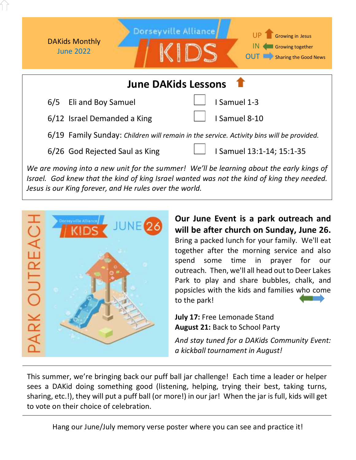

*We are moving into a new unit for the summer! We'll be learning about the early kings of Israel. God knew that the kind of king Israel wanted was not the kind of king they needed. Jesus is our King forever, and He rules over the world.* 



**Our June Event is a park outreach and will be after church on Sunday, June 26.**  Bring a packed lunch for your family. We'll eat together after the morning service and also spend some time in prayer for our outreach. Then, we'll all head out to Deer Lakes Park to play and share bubbles, chalk, and popsicles with the kids and families who come to the park!

**July 17:** Free Lemonade Stand **August 21:** Back to School Party

*And stay tuned for a DAKids Community Event: a kickball tournament in August!*

This summer, we're bringing back our puff ball jar challenge! Each time a leader or helper sees a DAKid doing something good (listening, helping, trying their best, taking turns, sharing, etc.!), they will put a puff ball (or more!) in our jar! When the jar is full, kids will get to vote on their choice of celebration.